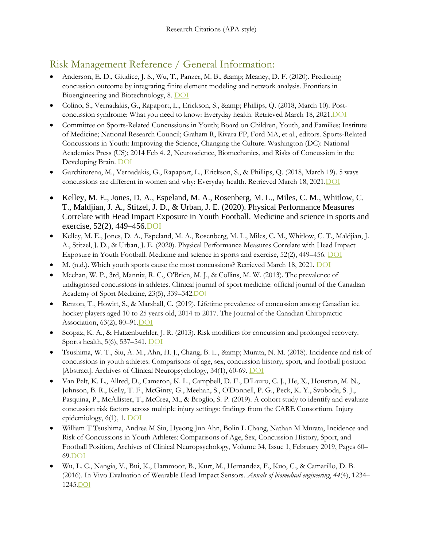# Risk Management Reference / General Information:

- Anderson, E. D., Giudice, J. S., Wu, T., Panzer, M. B., & amp; Meaney, D. F. (2020). Predicting concussion outcome by integrating finite element modeling and network analysis. Frontiers in Bioengineering and Biotechnology, 8. [DOI](https://doi.org/10.3389/fbioe.2020.00309)
- Colino, S., Vernadakis, G., Rapaport, L., Erickson, S., & amp; Phillips, Q. (2018, March 10). Postconcussion syndrome: What you need to know: Everyday health. Retrieved March 18, 2021[.DOI](https://www.everydayhealth.com/neurology/symptoms/post-concussion-syndrome-what-you-need-know/)
- Committee on Sports-Related Concussions in Youth; Board on Children, Youth, and Families; Institute of Medicine; National Research Council; Graham R, Rivara FP, Ford MA, et al., editors. Sports-Related Concussions in Youth: Improving the Science, Changing the Culture. Washington (DC): National Academies Press (US); 2014 Feb 4. 2, Neuroscience, Biomechanics, and Risks of Concussion in the Developing Brain. [DOI](https://www.ncbi.nlm.nih.gov/books/NBK185339/)
- Garchitorena, M., Vernadakis, G., Rapaport, L., Erickson, S., & Phillips, Q. (2018, March 19). 5 ways concussions are different in women and why: Everyday health. Retrieved March 18, 202[1.DOI](https://www.everydayhealth.com/neurology/ways-concussions-are-different-women-why/)
- Kelley, M. E., Jones, D. A., Espeland, M. A., Rosenberg, M. L., Miles, C. M., Whitlow, C. T., Maldjian, J. A., Stitzel, J. D., & Urban, J. E. (2020). Physical Performance Measures Correlate with Head Impact Exposure in Youth Football. Medicine and science in sports and exercise, 52(2), 449–456[.DOI](https://doi.org/10.1249/MSS.0000000000002144)
- Kelley, M. E., Jones, D. A., Espeland, M. A., Rosenberg, M. L., Miles, C. M., Whitlow, C. T., Maldjian, J. A., Stitzel, J. D., & Urban, J. E. (2020). Physical Performance Measures Correlate with Head Impact Exposure in Youth Football. Medicine and science in sports and exercise, 52(2), 449–456. [DOI](https://doi.org/10.1249/MSS.0000000000002144)
- M. (n.d.). Which youth sports cause the most concussions? Retrieved March 18, 2021. [DOI](https://www.medstarsportsmedicine.org/research/which-youth-sports-cause-the-most-concussions/)
- Meehan, W. P., 3rd, Mannix, R. C., O'Brien, M. J., & Collins, M. W. (2013). The prevalence of undiagnosed concussions in athletes. Clinical journal of sport medicine: official journal of the Canadian Academy of Sport Medicine, 23(5), 339–342.[DOI](https://doi.org/10.1097/JSM.0b013e318291d3b3)
- Renton, T., Howitt, S., & Marshall, C. (2019). Lifetime prevalence of concussion among Canadian ice hockey players aged 10 to 25 years old, 2014 to 2017. The Journal of the Canadian Chiropractic Association, 63(2), 80–9[1.DOI](https://www.ncbi.nlm.nih.gov/pmc/articles/PMC6743651/)
- Scopaz, K. A., & Hatzenbuehler, J. R. (2013). Risk modifiers for concussion and prolonged recovery. Sports health, 5(6), 537–541. [DOI](https://doi.org/10.1177/1941738112473059)
- Tsushima, W. T., Siu, A. M., Ahn, H. J., Chang, B. L., & amp; Murata, N. M. (2018). Incidence and risk of concussions in youth athletes: Comparisons of age, sex, concussion history, sport, and football position [Abstract]. Archives of Clinical Neuropsychology, 34(1), 60-69. [DOI](https://doi.org/10.1093/arclin/acy019)
- Van Pelt, K. L., Allred, D., Cameron, K. L., Campbell, D. E., D'Lauro, C. J., He, X., Houston, M. N., Johnson, B. R., Kelly, T. F., McGinty, G., Meehan, S., O'Donnell, P. G., Peck, K. Y., Svoboda, S. J., Pasquina, P., McAllister, T., McCrea, M., & Broglio, S. P. (2019). A cohort study to identify and evaluate concussion risk factors across multiple injury settings: findings from the CARE Consortium. Injury epidemiology, 6(1), 1. [DOI](https://doi.org/10.1186/s40621-018-0178-3)
- William T Tsushima, Andrea M Siu, Hyeong Jun Ahn, Bolin L Chang, Nathan M Murata, Incidence and Risk of Concussions in Youth Athletes: Comparisons of Age, Sex, Concussion History, Sport, and Football Position, Archives of Clinical Neuropsychology, Volume 34, Issue 1, February 2019, Pages 60– 6[9.DOI](https://doi.org/10.1093/arclin/acy019)
- Wu, L. C., Nangia, V., Bui, K., Hammoor, B., Kurt, M., Hernandez, F., Kuo, C., & Camarillo, D. B. (2016). In Vivo Evaluation of Wearable Head Impact Sensors. *Annals of biomedical engineering*, *44*(4), 1234– 1245.[DOI](https://doi.org/10.1007/s10439-015-1423-3)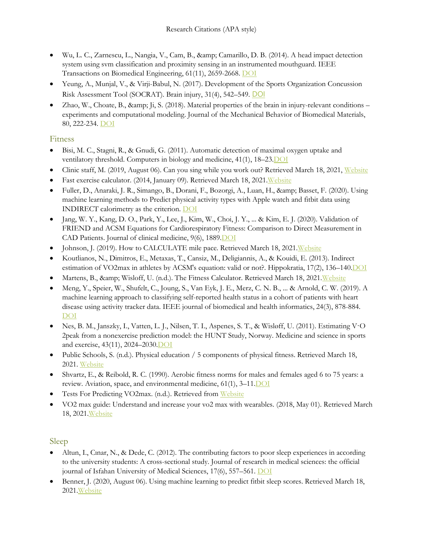- Wu, L. C., Zarnescu, L., Nangia, V., Cam, B., & amp; Camarillo, D. B. (2014). A head impact detection system using svm classification and proximity sensing in an instrumented mouthguard. IEEE Transactions on Biomedical Engineering, 61(11), 2659-2668. [DOI](https://ieeexplore.ieee.org/abstract/document/6805633?fbclid=IwAR2BH2-ey__TVwI9sW4ChFUK-eOSq60IqcYKFBQ-9Xux1_IKxH2YnGIfRP8)
- Yeung, A., Munjal, V., & Virji-Babul, N. (2017). Development of the Sports Organization Concussion Risk Assessment Tool (SOCRAT). Brain injury, 31(4), 542–549. [DOI](https://doi.org/10.1080/02699052.2016.1271456)
- Zhao, W., Choate, B., & amp; Ji, S. (2018). Material properties of the brain in injury-relevant conditions experiments and computational modeling. Journal of the Mechanical Behavior of Biomedical Materials, 80, 222-234. [DOI](https://www.sciencedirect.com/science/article/abs/pii/S1751616118300857)

#### Fitness

- Bisi, M. C., Stagni, R., & Gnudi, G. (2011). Automatic detection of maximal oxygen uptake and ventilatory threshold. Computers in biology and medicine, 41(1), 18-23. DOI
- Clinic staff, M. (2019, August 06). Can you sing while you work out? Retrieved March 18, 2021, [Website](https://www.mayoclinic.org/healthy-lifestyle/fitness/in-depth/exercise-intensity/art-20046887?pg=2)
- Fast exercise calculator. (2014, January 09). Retrieved March 18, 2021. Website
- Fuller, D., Anaraki, J. R., Simango, B., Dorani, F., Bozorgi, A., Luan, H., & amp; Basset, F. (2020). Using machine learning methods to Predict physical activity types with Apple watch and fitbit data using INDIRECT calorimetry as the criterion. [DOI](https://www.researchsquare.com/article/rs-17022/v1)
- Jang, W. Y., Kang, D. O., Park, Y., Lee, J., Kim, W., Choi, J. Y., ... & Kim, E. J. (2020). Validation of FRIEND and ACSM Equations for Cardiorespiratory Fitness: Comparison to Direct Measurement in CAD Patients. Journal of clinical medicine, 9(6), 188[9.DOI](https://scholar.google.com/scholar_url?url=https://www.mdpi.com/2077-0383/9/6/1889/pdf&hl=en&sa=T&oi=gsb-gga&ct=res&cd=0&d=16531220725438373252&ei=NHRTYJ72OcyMywTk2p_ACg&scisig=AAGBfm14iJBZ1Fz8ySd4Y8CbKePR8wx2TA)
- Johnson, J. (2019). How to CALCULATE mile pace. Retrieved March 18, 2021[.Website](https://www.livestrong.com/article/173187-how-to-calculate-mile-pace/)
- Koutlianos, N., Dimitros, E., Metaxas, T., Cansiz, M., Deligiannis, A., & Kouidi, E. (2013). Indirect estimation of VO2max in athletes by ACSM's equation: valid or not?. Hippokratia, 17(2), 136–140[.DOI](https://www.ncbi.nlm.nih.gov/pmc/articles/PMC3743617/)
- Martens, B., & amp; Wisloff, U. (n.d.). The Fitness Calculator. Retrieved March 18, 2021. Website
- Meng, Y., Speier, W., Shufelt, C., Joung, S., Van Eyk, J. E., Merz, C. N. B., ... & Arnold, C. W. (2019). A machine learning approach to classifying self-reported health status in a cohort of patients with heart disease using activity tracker data. IEEE journal of biomedical and health informatics, 24(3), 878-884. [DOI](https://cpb-us-w2.wpmucdn.com/research.seas.ucla.edu/dist/1/19/files/2019/08/MengJBHI2019.pdf)
- Nes, B. M., Janszky, I., Vatten, L. J., Nilsen, T. I., Aspenes, S. T., & Wisløff, U. (2011). Estimating V·O 2peak from a nonexercise prediction model: the HUNT Study, Norway. Medicine and science in sports and exercise, 43(11), 2024–2030. DOI
- Public Schools, S. (n.d.). Physical education / 5 components of physical fitness. Retrieved March 18, 2021. [Website](https://www.spps.org/Page/18206)
- Shvartz, E., & Reibold, R. C. (1990). Aerobic fitness norms for males and females aged 6 to 75 years: a review. Aviation, space, and environmental medicine, 61(1), 3–11[.DOI](https://pubmed.ncbi.nlm.nih.gov/2405832/)
- Tests For Predicting VO2max. (n.d.). Retrieved from [Website](https://sites.uni.edu/dolgener/Fitness_Assessment/CV_Fitness_Tests.pdf)
- VO2 max guide: Understand and increase your vo2 max with wearables. (2018, May 01). Retrieved March 18, 202[1.Website](https://www.wareable.com/health-and-wellbeing/vo2-max-guide-understand-and-increase-789)

### Sleep

- Altun, I., Cınar, N., & Dede, C. (2012). The contributing factors to poor sleep experiences in according to the university students: A cross-sectional study. Journal of research in medical sciences: the official journal of Isfahan University of Medical Sciences, 17(6), 557-561[. DOI](https://www.ncbi.nlm.nih.gov/pmc/articles/PMC3634295/)
- Benner, J. (2020, August 06). Using machine learning to predict fitbit sleep scores. Retrieved March 18, 2021[.Website](https://towardsdatascience.com/using-machine-learning-to-predict-fitbit-sleep-scores-496a7d9ec48)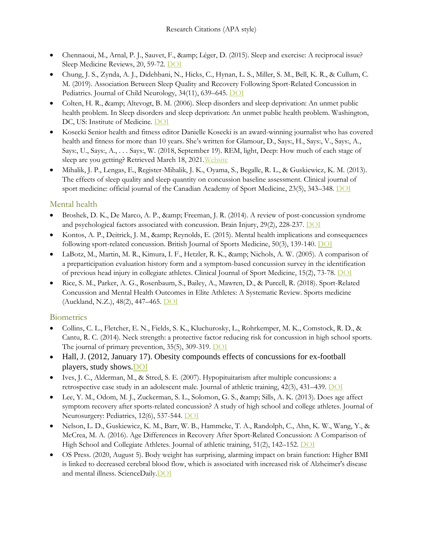- Chennaoui, M., Arnal, P. J., Sauvet, F., & amp; Léger, D. (2015). Sleep and exercise: A reciprocal issue? Sleep Medicine Reviews, 20, 59-72. [DOI](https://doi.org/10.1016/j.smrv.2014.06.008)
- Chung, J. S., Zynda, A. J., Didehbani, N., Hicks, C., Hynan, L. S., Miller, S. M., Bell, K. R., & Cullum, C. M. (2019). Association Between Sleep Quality and Recovery Following Sport-Related Concussion in Pediatrics. Journal of Child Neurology, 34(11), 639–645. [DOI](https://doi.org/10.1177/0883073819849741)
- Colten, H. R., & Altevogt, B. M. (2006). Sleep disorders and sleep deprivation: An unmet public health problem. In Sleep disorders and sleep deprivation: An unmet public health problem. Washington, DC, US: Institute of Medicine. [DOI](https://www.ncbi.nlm.nih.gov/books/NBK19956/)
- Kosecki Senior health and fitness editor Danielle Kosecki is an award-winning journalist who has covered health and fitness for more than 10 years. She's written for Glamour, D., Says:, H., Says:, V., Says:, A., Says:, U., Says:, A., . . . Says:, W. (2018, September 19). REM, light, Deep: How much of each stage of sleep are you getting? Retrieved March 18, 2021. Website
- Mihalik, J. P., Lengas, E., Register-Mihalik, J. K., Oyama, S., Begalle, R. L., & Guskiewicz, K. M. (2013). The effects of sleep quality and sleep quantity on concussion baseline assessment. Clinical journal of sport medicine: official journal of the Canadian Academy of Sport Medicine, 23(5), 343–348[. DOI](https://doi.org/10.1097/JSM.0b013e318295a834)

#### Mental health

- Broshek, D. K., De Marco, A. P., & amp; Freeman, J. R. (2014). A review of post-concussion syndrome and psychological factors associated with concussion. Brain Injury, 29(2), 228-237. [DOI](https://doi.org/10.3109/02699052.2014.974674)
- Kontos, A. P., Deitrick, J. M., & Reynolds, E. (2015). Mental health implications and consequences following sport-related concussion. British Journal of Sports Medicine, 50(3), 139-140. [DOI](https://www.researchgate.net/deref/http%3A%2F%2Fdx.doi.org%2F10.1136%2Fbjsports-2015-095564)
- LaBotz, M., Martin, M. R., Kimura, I. F., Hetzler, R. K., & amp; Nichols, A. W. (2005). A comparison of a preparticipation evaluation history form and a symptom-based concussion survey in the identification of previous head injury in collegiate athletes. Clinical Journal of Sport Medicine, 15(2), 73-78. [DOI](https://journals.lww.com/cjsportsmed/fulltext/2005/03000/A_Comparison_of_a_Preparticipation_Evaluation.7.aspx?casa_token=WTFZh0AjJIYAAAAA:4z5rJSOuehuiD6_klfkbNo5rqDBPdlPuyLZklEclSL3rT1Km0SDSQ70UfcogFvnC9Z7HZ0kthlkN1Q7yk_4xQe4)
- Rice, S. M., Parker, A. G., Rosenbaum, S., Bailey, A., Mawren, D., & Purcell, R. (2018). Sport-Related Concussion and Mental Health Outcomes in Elite Athletes: A Systematic Review. Sports medicine (Auckland, N.Z.), 48(2), 447–465. [DOI](https://doi.org/10.1007/s40279-017-0810-3)

#### **Biometrics**

- Collins, C. L., Fletcher, E. N., Fields, S. K., Kluchurosky, L., Rohrkemper, M. K., Comstock, R. D., & Cantu, R. C. (2014). Neck strength: a protective factor reducing risk for concussion in high school sports. The journal of primary prevention, 35(5), 309-319. [DOI](https://scholar.google.com/scholar_url?url=https://idp.springer.com/authorize/casa%3Fredirect_uri%3Dhttps://link.springer.com/content/pdf/10.1007/s10935-014-0355-2.pdf%26casa_token%3Dy0LgmXfNrkAAAAAA:UTsZPbFV455dUtayiGq3_UlPj8SQx1j7XshTMzhp4T1MnjtPRobtzPeNfqchjzepxm07FVfX2iuAnbns&hl=en&sa=T&oi=gsb-gga&ct=res&cd=0&d=7932034905783888934&ei=oLRYYMq3OIaQmwHv94bgDg&scisig=AAGBfm2YUCFkqum8FRfLmN4TAiXCmlcPqA)
- Hall, J. (2012, January 17). Obesity compounds effects of concussions for ex-football players, study shows[.DOI](https://www.thestar.com/sports/football/2012/01/17/obesity_compounds_effects_of_concussions_for_exfootball_players_study_shows.html)
- Ives, J. C., Alderman, M., & Stred, S. E. (2007). Hypopituitarism after multiple concussions: a retrospective case study in an adolescent male. Journal of athletic training, 42(3), 431-439. [DOI](https://www.ncbi.nlm.nih.gov/pmc/articles/PMC1978466/)
- Lee, Y. M., Odom, M. J., Zuckerman, S. L., Solomon, G. S., & amp; Sills, A. K. (2013). Does age affect symptom recovery after sports-related concussion? A study of high school and college athletes. Journal of Neurosurgery: Pediatrics, 12(6), 537-544[. DOI](https://doi.org/10.3171/2013.7.PEDS12572)
- Nelson, L. D., Guskiewicz, K. M., Barr, W. B., Hammeke, T. A., Randolph, C., Ahn, K. W., Wang, Y., & McCrea, M. A. (2016). Age Differences in Recovery After Sport-Related Concussion: A Comparison of High School and Collegiate Athletes. Journal of athletic training, 51(2), 142-152. [DOI](https://doi.org/10.4085/1062-6050-51.4.04)
- OS Press. (2020, August 5). Body weight has surprising, alarming impact on brain function: Higher BMI is linked to decreased cerebral blood flow, which is associated with increased risk of Alzheimer's disease and mental illness. ScienceDaily. DOI